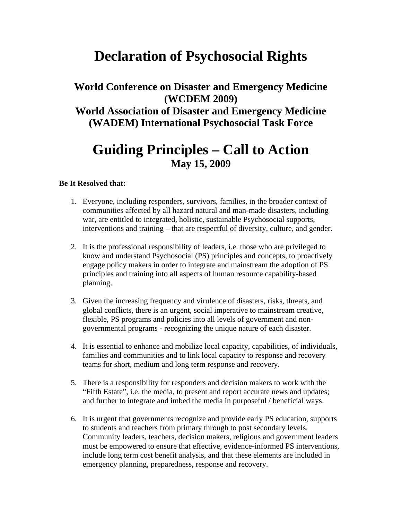## **Declaration of Psychosocial Rights**

## **World Conference on Disaster and Emergency Medicine (WCDEM 2009) World Association of Disaster and Emergency Medicine (WADEM) International Psychosocial Task Force**

## **Guiding Principles – Call to Action May 15, 2009**

## **Be It Resolved that:**

- 1. Everyone, including responders, survivors, families, in the broader context of communities affected by all hazard natural and man-made disasters, including war, are entitled to integrated, holistic, sustainable Psychosocial supports, interventions and training – that are respectful of diversity, culture, and gender.
- 2. It is the professional responsibility of leaders, i.e. those who are privileged to know and understand Psychosocial (PS) principles and concepts, to proactively engage policy makers in order to integrate and mainstream the adoption of PS principles and training into all aspects of human resource capability-based planning.
- 3. Given the increasing frequency and virulence of disasters, risks, threats, and global conflicts, there is an urgent, social imperative to mainstream creative, flexible, PS programs and policies into all levels of government and nongovernmental programs - recognizing the unique nature of each disaster.
- 4. It is essential to enhance and mobilize local capacity, capabilities, of individuals, families and communities and to link local capacity to response and recovery teams for short, medium and long term response and recovery.
- 5. There is a responsibility for responders and decision makers to work with the "Fifth Estate", i.e. the media, to present and report accurate news and updates; and further to integrate and imbed the media in purposeful / beneficial ways.
- 6. It is urgent that governments recognize and provide early PS education, supports to students and teachers from primary through to post secondary levels. Community leaders, teachers, decision makers, religious and government leaders must be empowered to ensure that effective, evidence-informed PS interventions, include long term cost benefit analysis, and that these elements are included in emergency planning, preparedness, response and recovery.